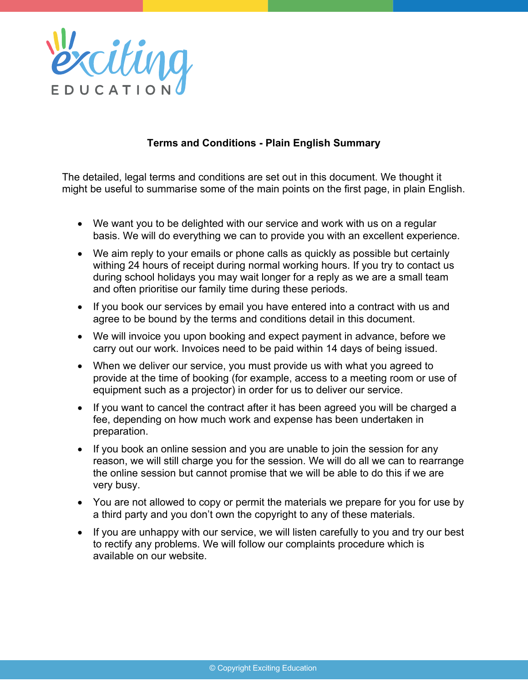

# **Terms and Conditions - Plain English Summary**

The detailed, legal terms and conditions are set out in this document. We thought it might be useful to summarise some of the main points on the first page, in plain English.

- We want you to be delighted with our service and work with us on a regular basis. We will do everything we can to provide you with an excellent experience.
- We aim reply to your emails or phone calls as quickly as possible but certainly withing 24 hours of receipt during normal working hours. If you try to contact us during school holidays you may wait longer for a reply as we are a small team and often prioritise our family time during these periods.
- If you book our services by email you have entered into a contract with us and agree to be bound by the terms and conditions detail in this document.
- We will invoice you upon booking and expect payment in advance, before we carry out our work. Invoices need to be paid within 14 days of being issued.
- When we deliver our service, you must provide us with what you agreed to provide at the time of booking (for example, access to a meeting room or use of equipment such as a projector) in order for us to deliver our service.
- If you want to cancel the contract after it has been agreed you will be charged a fee, depending on how much work and expense has been undertaken in preparation.
- If you book an online session and you are unable to join the session for any reason, we will still charge you for the session. We will do all we can to rearrange the online session but cannot promise that we will be able to do this if we are very busy.
- You are not allowed to copy or permit the materials we prepare for you for use by a third party and you don't own the copyright to any of these materials.
- If you are unhappy with our service, we will listen carefully to you and try our best to rectify any problems. We will follow our complaints procedure which is available on our website.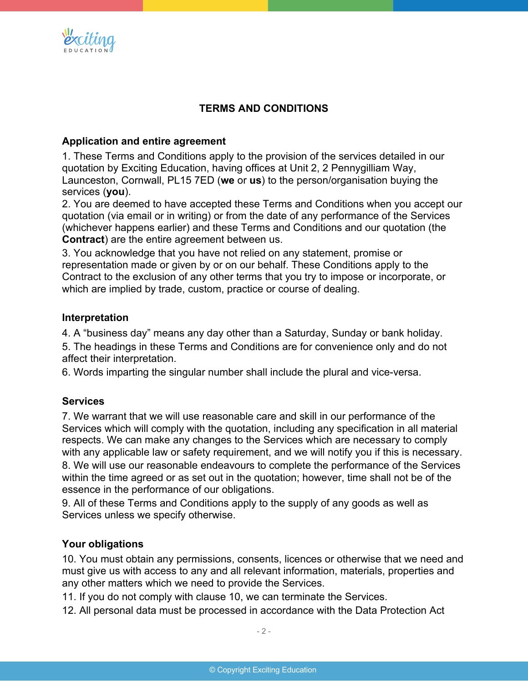

# **TERMS AND CONDITIONS**

## **Application and entire agreement**

1. These Terms and Conditions apply to the provision of the services detailed in our quotation by Exciting Education, having offices at Unit 2, 2 Pennygilliam Way, Launceston, Cornwall, PL15 7ED (**we** or **us**) to the person/organisation buying the services (**you**).

2. You are deemed to have accepted these Terms and Conditions when you accept our quotation (via email or in writing) or from the date of any performance of the Services (whichever happens earlier) and these Terms and Conditions and our quotation (the **Contract**) are the entire agreement between us.

3. You acknowledge that you have not relied on any statement, promise or representation made or given by or on our behalf. These Conditions apply to the Contract to the exclusion of any other terms that you try to impose or incorporate, or which are implied by trade, custom, practice or course of dealing.

### **Interpretation**

4. A "business day" means any day other than a Saturday, Sunday or bank holiday.

5. The headings in these Terms and Conditions are for convenience only and do not affect their interpretation.

6. Words imparting the singular number shall include the plural and vice-versa.

### **Services**

7. We warrant that we will use reasonable care and skill in our performance of the Services which will comply with the quotation, including any specification in all material respects. We can make any changes to the Services which are necessary to comply with any applicable law or safety requirement, and we will notify you if this is necessary. 8. We will use our reasonable endeavours to complete the performance of the Services within the time agreed or as set out in the quotation; however, time shall not be of the essence in the performance of our obligations.

9. All of these Terms and Conditions apply to the supply of any goods as well as Services unless we specify otherwise.

### **Your obligations**

10. You must obtain any permissions, consents, licences or otherwise that we need and must give us with access to any and all relevant information, materials, properties and any other matters which we need to provide the Services.

11. If you do not comply with clause 10, we can terminate the Services.

12. All personal data must be processed in accordance with the Data Protection Act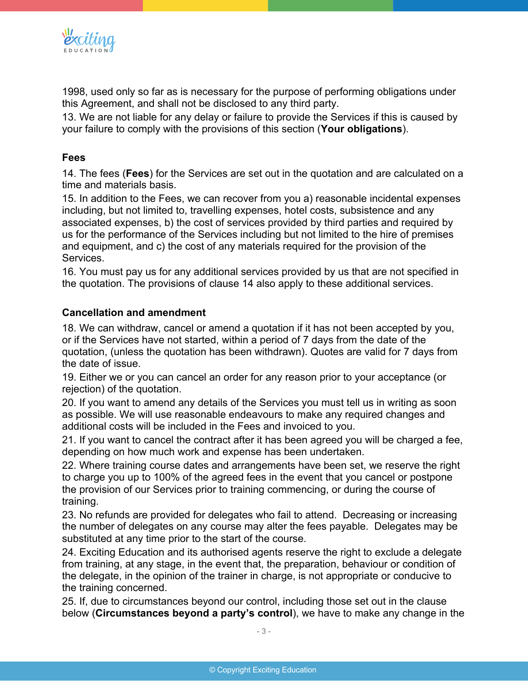

1998, used only so far as is necessary for the purpose of performing obligations under this Agreement, and shall not be disclosed to any third party.

13. We are not liable for any delay or failure to provide the Services if this is caused by your failure to comply with the provisions of this section (**Your obligations**).

## **Fees**

14. The fees (**Fees**) for the Services are set out in the quotation and are calculated on a time and materials basis.

15. In addition to the Fees, we can recover from you a) reasonable incidental expenses including, but not limited to, travelling expenses, hotel costs, subsistence and any associated expenses, b) the cost of services provided by third parties and required by us for the performance of the Services including but not limited to the hire of premises and equipment, and c) the cost of any materials required for the provision of the Services.

16. You must pay us for any additional services provided by us that are not specified in the quotation. The provisions of clause 14 also apply to these additional services.

## **Cancellation and amendment**

18. We can withdraw, cancel or amend a quotation if it has not been accepted by you, or if the Services have not started, within a period of 7 days from the date of the quotation, (unless the quotation has been withdrawn). Quotes are valid for 7 days from the date of issue.

19. Either we or you can cancel an order for any reason prior to your acceptance (or rejection) of the quotation.

20. If you want to amend any details of the Services you must tell us in writing as soon as possible. We will use reasonable endeavours to make any required changes and additional costs will be included in the Fees and invoiced to you.

21. If you want to cancel the contract after it has been agreed you will be charged a fee, depending on how much work and expense has been undertaken.

22. Where training course dates and arrangements have been set, we reserve the right to charge you up to 100% of the agreed fees in the event that you cancel or postpone the provision of our Services prior to training commencing, or during the course of training.

23. No refunds are provided for delegates who fail to attend. Decreasing or increasing the number of delegates on any course may alter the fees payable. Delegates may be substituted at any time prior to the start of the course.

24. Exciting Education and its authorised agents reserve the right to exclude a delegate from training, at any stage, in the event that, the preparation, behaviour or condition of the delegate, in the opinion of the trainer in charge, is not appropriate or conducive to the training concerned.

25. If, due to circumstances beyond our control, including those set out in the clause below (**Circumstances beyond a party's control**), we have to make any change in the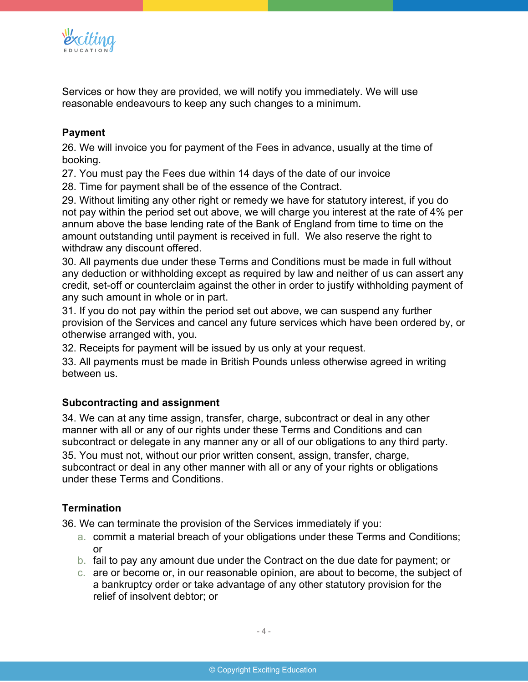

Services or how they are provided, we will notify you immediately. We will use reasonable endeavours to keep any such changes to a minimum.

## **Payment**

26. We will invoice you for payment of the Fees in advance, usually at the time of booking.

27. You must pay the Fees due within 14 days of the date of our invoice

28. Time for payment shall be of the essence of the Contract.

29. Without limiting any other right or remedy we have for statutory interest, if you do not pay within the period set out above, we will charge you interest at the rate of 4% per annum above the base lending rate of the Bank of England from time to time on the amount outstanding until payment is received in full. We also reserve the right to withdraw any discount offered.

30. All payments due under these Terms and Conditions must be made in full without any deduction or withholding except as required by law and neither of us can assert any credit, set-off or counterclaim against the other in order to justify withholding payment of any such amount in whole or in part.

31. If you do not pay within the period set out above, we can suspend any further provision of the Services and cancel any future services which have been ordered by, or otherwise arranged with, you.

32. Receipts for payment will be issued by us only at your request.

33. All payments must be made in British Pounds unless otherwise agreed in writing between us.

## **Subcontracting and assignment**

34. We can at any time assign, transfer, charge, subcontract or deal in any other manner with all or any of our rights under these Terms and Conditions and can subcontract or delegate in any manner any or all of our obligations to any third party. 35. You must not, without our prior written consent, assign, transfer, charge, subcontract or deal in any other manner with all or any of your rights or obligations under these Terms and Conditions.

## **Termination**

36. We can terminate the provision of the Services immediately if you:

- a. commit a material breach of your obligations under these Terms and Conditions; or
- b. fail to pay any amount due under the Contract on the due date for payment; or
- c. are or become or, in our reasonable opinion, are about to become, the subject of a bankruptcy order or take advantage of any other statutory provision for the relief of insolvent debtor; or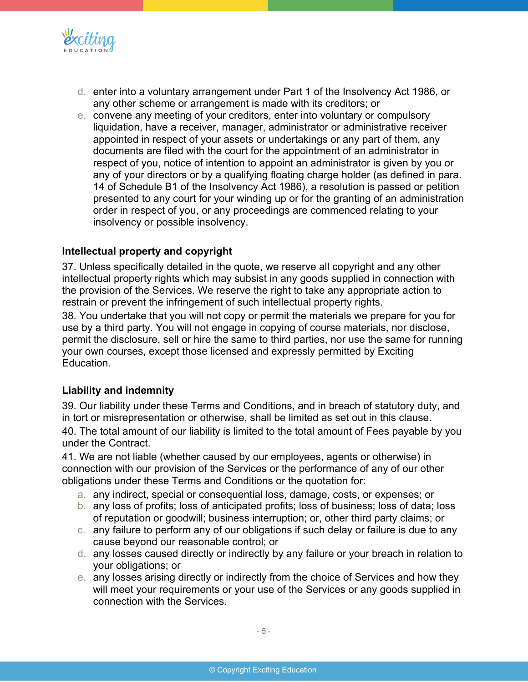

- d. enter into a voluntary arrangement under Part 1 of the Insolvency Act 1986, or any other scheme or arrangement is made with its creditors; or
- e. convene any meeting of your creditors, enter into voluntary or compulsory liquidation, have a receiver, manager, administrator or administrative receiver appointed in respect of your assets or undertakings or any part of them, any documents are filed with the court for the appointment of an administrator in respect of you, notice of intention to appoint an administrator is given by you or any of your directors or by a qualifying floating charge holder (as defined in para. 14 of Schedule B1 of the Insolvency Act 1986), a resolution is passed or petition presented to any court for your winding up or for the granting of an administration order in respect of you, or any proceedings are commenced relating to your insolvency or possible insolvency.

## **Intellectual property and copyright**

37. Unless specifically detailed in the quote, we reserve all copyright and any other intellectual property rights which may subsist in any goods supplied in connection with the provision of the Services. We reserve the right to take any appropriate action to restrain or prevent the infringement of such intellectual property rights.

38. You undertake that you will not copy or permit the materials we prepare for you for use by a third party. You will not engage in copying of course materials, nor disclose, permit the disclosure, sell or hire the same to third parties, nor use the same for running your own courses, except those licensed and expressly permitted by Exciting Education.

### **Liability and indemnity**

39. Our liability under these Terms and Conditions, and in breach of statutory duty, and in tort or misrepresentation or otherwise, shall be limited as set out in this clause.

40. The total amount of our liability is limited to the total amount of Fees payable by you under the Contract.

41. We are not liable (whether caused by our employees, agents or otherwise) in connection with our provision of the Services or the performance of any of our other obligations under these Terms and Conditions or the quotation for:

- a. any indirect, special or consequential loss, damage, costs, or expenses; or
- b. any loss of profits; loss of anticipated profits; loss of business; loss of data; loss of reputation or goodwill; business interruption; or, other third party claims; or
- c. any failure to perform any of our obligations if such delay or failure is due to any cause beyond our reasonable control; or
- d. any losses caused directly or indirectly by any failure or your breach in relation to your obligations; or
- e. any losses arising directly or indirectly from the choice of Services and how they will meet your requirements or your use of the Services or any goods supplied in connection with the Services.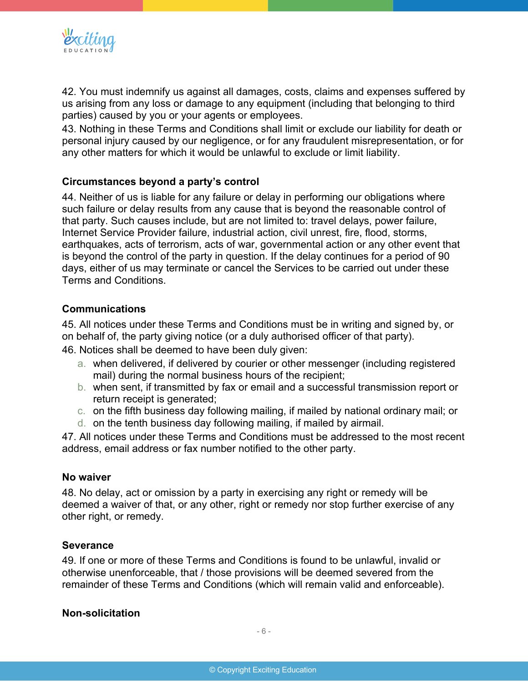

42. You must indemnify us against all damages, costs, claims and expenses suffered by us arising from any loss or damage to any equipment (including that belonging to third parties) caused by you or your agents or employees.

43. Nothing in these Terms and Conditions shall limit or exclude our liability for death or personal injury caused by our negligence, or for any fraudulent misrepresentation, or for any other matters for which it would be unlawful to exclude or limit liability.

## **Circumstances beyond a party's control**

44. Neither of us is liable for any failure or delay in performing our obligations where such failure or delay results from any cause that is beyond the reasonable control of that party. Such causes include, but are not limited to: travel delays, power failure, Internet Service Provider failure, industrial action, civil unrest, fire, flood, storms, earthquakes, acts of terrorism, acts of war, governmental action or any other event that is beyond the control of the party in question. If the delay continues for a period of 90 days, either of us may terminate or cancel the Services to be carried out under these Terms and Conditions.

### **Communications**

45. All notices under these Terms and Conditions must be in writing and signed by, or on behalf of, the party giving notice (or a duly authorised officer of that party).

46. Notices shall be deemed to have been duly given:

- a. when delivered, if delivered by courier or other messenger (including registered mail) during the normal business hours of the recipient;
- b. when sent, if transmitted by fax or email and a successful transmission report or return receipt is generated;
- c. on the fifth business day following mailing, if mailed by national ordinary mail; or
- d. on the tenth business day following mailing, if mailed by airmail.

47. All notices under these Terms and Conditions must be addressed to the most recent address, email address or fax number notified to the other party.

### **No waiver**

48. No delay, act or omission by a party in exercising any right or remedy will be deemed a waiver of that, or any other, right or remedy nor stop further exercise of any other right, or remedy.

### **Severance**

49. If one or more of these Terms and Conditions is found to be unlawful, invalid or otherwise unenforceable, that / those provisions will be deemed severed from the remainder of these Terms and Conditions (which will remain valid and enforceable).

### **Non-solicitation**

- 6 -